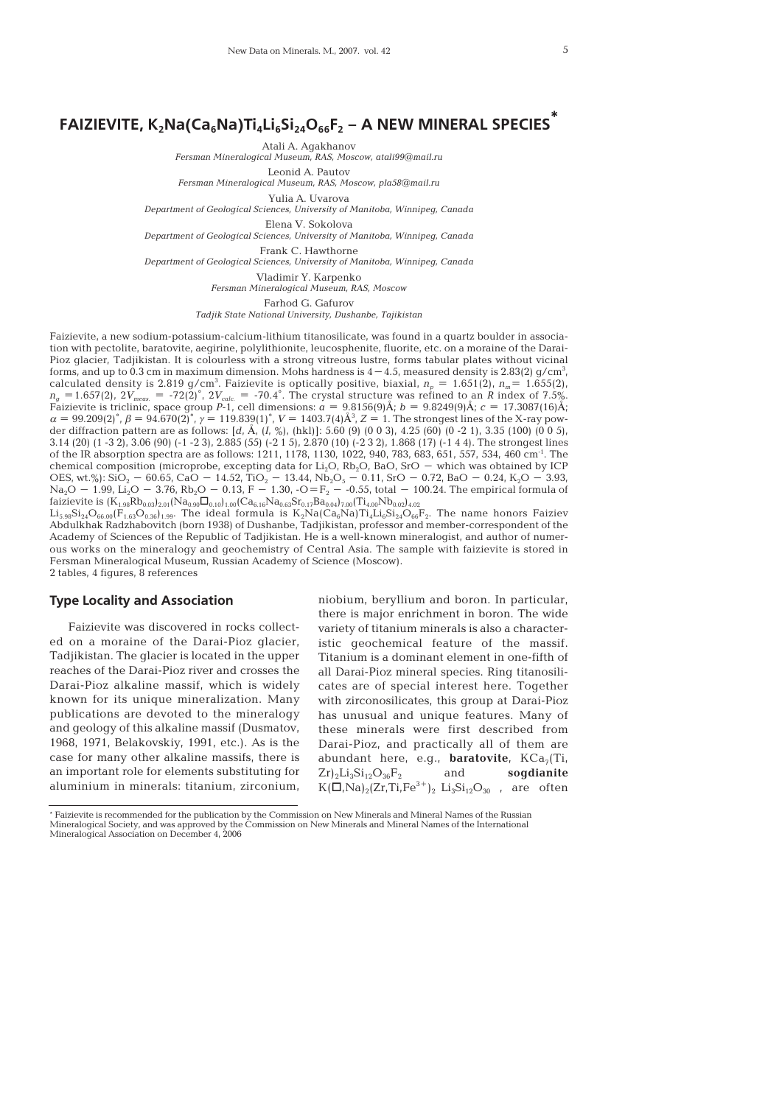## **FAIZIEVITE, K2Na(Ca6Na)Ti4Li6Si24O66F2 – A NEW MINERAL SPECIES \***

Atali A. Agakhanov

*Fersman Mineralogical Museum, RAS, Moscow, atali99@mail.ru*

Leonid A. Pautov

*Fersman Mineralogical Museum, RAS, Moscow, pla58@mail.ru*

Yulia A. Uvarova

*Department of Geological Sciences, University of Manitoba, Winnipeg, Canada* Elena V. Sokolova

*Department of Geological Sciences, University of Manitoba, Winnipeg, Canada*

Frank C. Hawthorne

*Department of Geological Sciences, University of Manitoba, Winnipeg, Canada*

Vladimir Y. Karpenko *Fersman Mineralogical Museum, RAS, Moscow*

Farhod G. Gafurov

*Tadjik State National University, Dushanbe, Tajikistan*

Faizievite, a new sodium-potassium-calcium-lithium titanosilicate, was found in a quartz boulder in association with pectolite, baratovite, aegirine, polylithionite, leucosphenite, fluorite, etc. on a moraine of the Darai- Pioz glacier, Tadjikistan. It is colourless with a strong vitreous lustre, forms tabular plates without vicinal forms, and up to 0.3 cm in maximum dimension. Mohs hardness is  $4-4.5$ , measured density is 2.83(2) g/cm $^3\!$ , calculated density is 2.819 g/cm<sup>3</sup>. Faizievite is optically positive, biaxial,  $n_p = 1.651(2)$ ,  $n_m = 1.655(2)$ ,  $n_g = 1.657(2)$ ,  $2V_{meas.} = -72(2)$ °,  $2V_{calc.} = -70.4$ °. The crystal structure was refined to an *R* index of 7.5%. Faizievite is triclinic, space group *P*-1, cell dimensions:  $a = 9.8156(9)$ Å;  $b = 9.8249(9)$ Å;  $c = 17.3087(16)$ Å;  $\alpha = 99.209(2)^{\circ}, \beta = 94.670(2)^{\circ}, \gamma = 119.839(1)^{\circ}, V = 1403.7(4)\AA^{3}, Z = 1$ . The strongest lines of the X-ray powder diffraction pattern are as follows: [*d*, Å, (*I*, %), (hkl)]: 5.60 (9) (0 0 3), 4.25 (60) (0 -2 1), 3.35 (100) (0 0 5), 3.14 (20) (1 -3 2), 3.06 (90) (-1 -2 3), 2.885 (55) (-2 1 5), 2.870 (10) (-2 3 2), 1.868 (17) (-1 4 4). The strongest lines of the IR absorption spectra are as follows: 1211, 1178, 1130, 1022, 940, 783, 683, 651, 557, 534, 460 cm<sup>-1</sup>. The chemical composition (microprobe, excepting data for  $Li_2O$ ,  $Rb_2O$ ,  $BaO$ ,  $SrO -$  which was obtained by ICP OES, wt.%): SiO<sub>2</sub> – 60.65, CaO – 14.52, TiO<sub>2</sub> – 13.44, Nb<sub>2</sub>O<sub>5</sub> – 0.11, SrO – 0.72, BaO – 0.24, K<sub>2</sub>O – 3.93,  $\rm Na_2O$   $-$  1.99,  $\rm Li_2O$   $-$  3.76,  $\rm Rb_2O$   $-$  0.13, F  $-$  1.30, -O=F<sub>2</sub>  $-$  -0.55, total  $-$  100.24. The empirical formula of  $\rm{fa}$ izievite is  $\rm{(\rm{K}_{1.98}\rm{Rb}_{0.03})_{2.01}(Na_{0.90}\Box_{0.10})_{1.00}(Ca_{6.16}Na_{0.63}Sr_{0.17}Ba_{0.04})_{7.00}(Ti_{4.00}Nb_{0.02})_{4.02}}$ 

 ${\rm Li}_{5.98}{\rm Si}_{24}{\rm O}_{66.00}$ (F $_{1.63}{\rm O}_{0.36}$ ) $_{1.99}$ . The ideal formula is  ${\rm K_2Na(Ca_6Na)Ti}_4{\rm Li}_6{\rm Si}_{24}{\rm O}_{66}{\rm F}_2.$  The name honors Faiziev Abdulkhak Radzhabovitch (born 1938) of Dushanbe, Tadjikistan, professor and member-correspondent of the Academy of Sciences of the Republic of Tadjikistan. He is a well-known mineralоgist, and author of numerous works on the mineralоgy and geochemistry of Central Asia. The sample with faizievite is stored in Fersman Mineralоgical Museum, Russian Academy of Science (Moscow). 2 tables, 4 figures, 8 references

# **Type Locality and Association**

Faizievite was discovered in rocks collected on a moraine of the Darai-Pioz glacier, Tadjikistan. The glacier is located in the upper reaches of the Darai-Pioz river and crosses the Darai-Pioz alkaline massif, which is widely known for its unique mineralization. Many publications are devoted to the mineralogy and geology of this alkaline massif (Dusmatov, 1968, 1971, Belakovskiy, 1991, etc.). As is the case for many other alkaline massifs, there is an important role for elements substituting for aluminium in minerals: titanium, zirconium, niobium, beryllium and boron. In particular, there is major enrichment in boron. The wide variety of titanium minerals is also a characteristic geochemical feature of the massif. Titanium is a dominant element in one-fifth of all Darai-Pioz mineral species. Ring titanosilicates are of special interest here. Together with zirconosilicates, this group at Darai-Pioz has unusual and unique features. Many of these minerals were first described from Darai-Pioz, and practically all of them are abundant here, e.g., **baratovite**, KCa<sub>7</sub>(Ti,<br>Zr)<sub>2</sub>Li<sub>2</sub>Si<sub>12</sub>O<sub>28</sub>F<sub>2</sub> and **soudianite**  $Zr$ <sub>2</sub>Li<sub>3</sub>Si<sub>12</sub>O<sub>36</sub>F<sub>2</sub> and  $K(\overline{D},Na)_2(Zr,Ti,Fe^{3+})$ , Li<sub>3</sub>Si<sub>12</sub>O<sub>30</sub>, are often

<sup>\*</sup> Faizievite is recommended for the publication by the Commission on New Minerals and Mineral Names of the Russian Mineralogical Society, and was approved by the Commission on New Minerals and Mineral Names of the International Mineralogical Association on December 4, 2006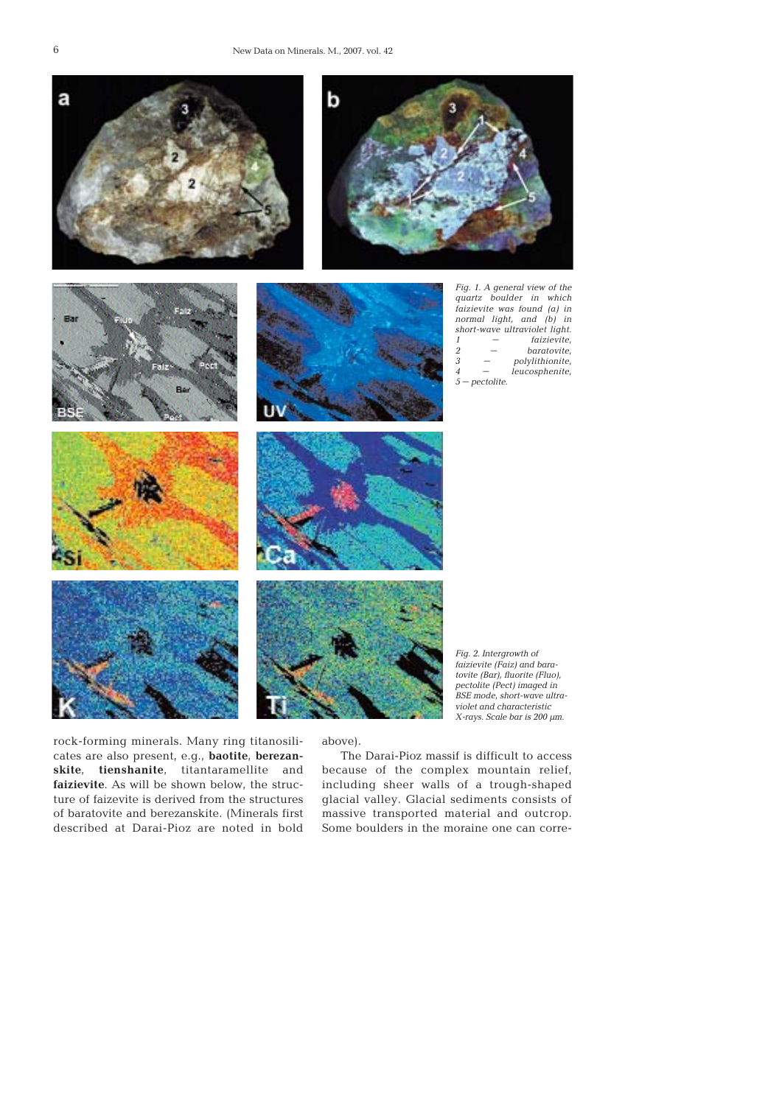

rock-forming minerals. Many ring titanosilicates are also present, e.g., **baotite**, **berezanskite**, **tienshanite**, titantaramellite and **faizievite**. As will be shown below, the structure of faizevite is derived from the structures of baratovite and berezanskite. (Minerals first described at Darai-Pioz are noted in bold

above).

The Darai-Pioz massif is difficult to access because of the complex mountain relief, including sheer walls of a trough-shaped glacial valley. Glacial sediments consists of massive transported material and outcrop. Some boulders in the moraine one can corre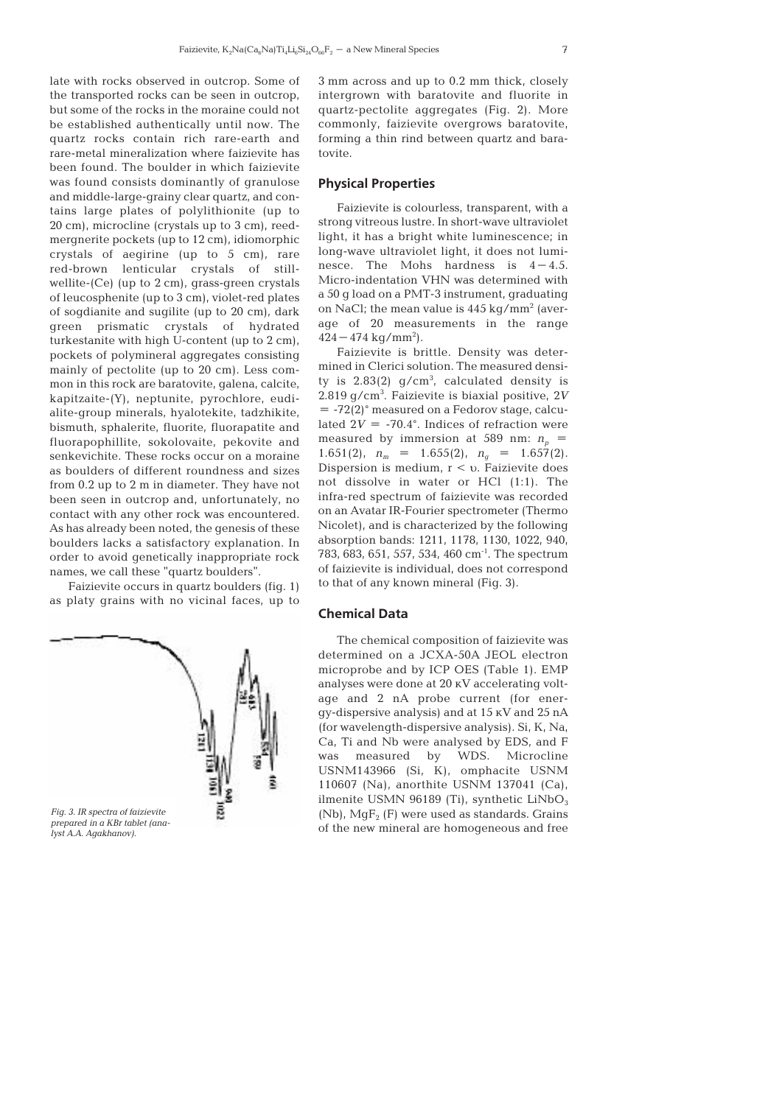late with rocks observed in outcrop. Some of the transported rocks can be seen in outcrop, but some of the rocks in the moraine could not be established authentically until now. The quartz rocks contain rich rare-earth and rare-metal mineralization where faizievite has been found. The boulder in which faizievite was found consists dominantly of granulose and middle-large-grainy clear quartz, and contains large plates of polylithionite (up to 20 cm), microcline (crystals up to 3 cm), reedmergnerite pockets (up to 12 cm), idiomorphic crystals of aegirine (up to 5 cm), rare red-brown lenticular crystals of stillwellite-(Се) (up to 2 cm), grass-green crystals of leucosphenite (up to 3 cm), violet-red plates of sogdianite and sugilite (up to 20 cm), dark green prismatic crystals of hydrated turkestanite with high U-content (up to 2 cm), pockets of polymineral aggregates consisting mainly of pectolite (up to 20 cm). Less common in this rock are baratovite, galena, calcite, kapitzaite-(Y), neptunite, pyrochlore, eudialite-group minerals, hyalotekite, tadzhikite, bismuth, sphalerite, fluorite, fluorapatite and fluorapophillite, sokolovaite, pekovite and senkevichite. These rocks occur on a moraine as boulders of different roundness and sizes from 0.2 up to 2 m in diameter. They have not been seen in outcrop and, unfortunately, no contact with any other rock was encountered. As has already been noted, the genesis of these boulders lacks a satisfactory explanation. In order to avoid genetically inappropriate rock names, we call these "quartz boulders".

Faizievite occurs in quartz boulders (fig. 1) as platy grains with no vicinal faces, up to



3 mm across and up to 0.2 mm thick, closely intergrown with baratovite and fluorite in quartz-pectolite aggregates (Fig. 2). More commonly, faizievite overgrows baratovite, forming a thin rind between quartz and baratovite.

### **Physical Properties**

Faizievite is colourless, transparent, with a strong vitreous lustre. In short-wave ultraviolet light, it has a bright white luminescence; in long-wave ultraviolet light, it does not luminesce. The Mohs hardness is  $4-4.5$ . Micro-indentation VHN was determined with a 50 g load on a PMT-3 instrument, graduating on NaCl; the mean value is  $445 \text{ kg/mm}^2$  (average of 20 measurements in the range  $424 - 474$  kg/mm<sup>2</sup>).

Faizievite is brittle. Density was determined in Clerici solution. The measured density is  $2.83(2)$  g/cm<sup>3</sup>, calculated density is 2.819 g/cm<sup>3</sup> . Faizievite is biaxial positive, 2*V* = -72(2)° measured on a Fedorov stage, calculated  $2V = -70.4^{\circ}$ . Indices of refraction were measured by immersion at 589 nm:  $n<sub>n</sub>$  = 1.651(2),  $n_m = 1.655(2)$ ,  $n_a = 1.657(2)$ . Dispersion is medium,  $r < v$ . Faizievite does not dissolve in water or HCl (1:1). The infra-red spectrum of faizievite was recorded on an Avatar IR-Fourier spectrometer (Thermo Nicolet), and is characterized by the following absorption bands: 1211, 1178, 1130, 1022, 940, 783, 683, 651, 557, 534, 460 cm-1. The spectrum of faizievite is individual, does not correspond to that of any known mineral (Fig. 3).

### **Chemical Data**

The chemical composition of faizievite was determined on a JCXA-50A JEOL electron microprobe and by ICP OES (Table 1). EMP analyses were done at 20 кV accelerating voltage and 2 nA probe current (for energy-dispersive analysis) and at 15 кV and 25 nA (for wavelength-dispersive analysis). Si, K, Na, Са, Ti and Nb were analysed by EDS, and F was measured by WDS. Microcline USNM143966 (Si, K), omphacite USNM 110607 (Na), anorthite USNM 137041 (Са), ilmenite USMN 96189 (Ti), synthetic  $LiNbO<sub>2</sub>$ (Nb),  $MqF_2$  (F) were used as standards. Grains of the new mineral are homogeneous and free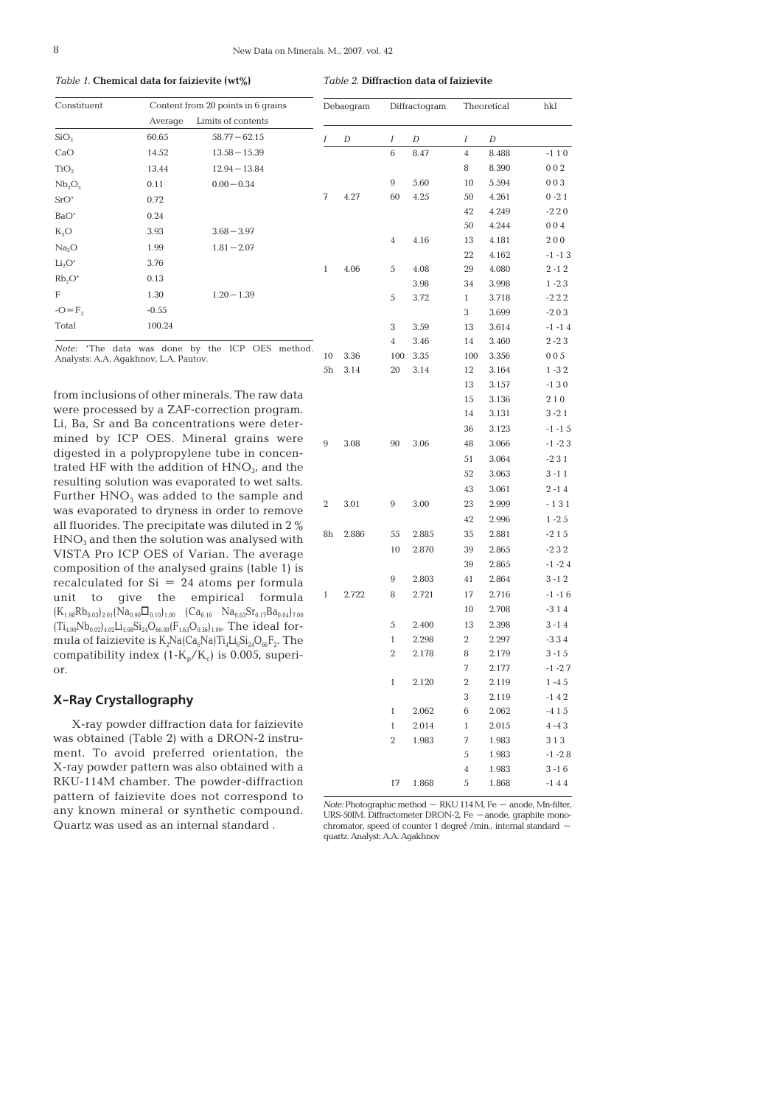*Table 1.* **Chemical data for faizievite (wt%)**

*Table 2.* **Diffraction data of faizievite** 

| Constituent                                                                                                                             |                                       | Content from 20 points in 6 grains                                                                                                                      |                | Debaegram |                | Diffractogram |                | Theoretical | hkl       |
|-----------------------------------------------------------------------------------------------------------------------------------------|---------------------------------------|---------------------------------------------------------------------------------------------------------------------------------------------------------|----------------|-----------|----------------|---------------|----------------|-------------|-----------|
|                                                                                                                                         | Average                               | Limits of contents                                                                                                                                      |                |           |                |               |                |             |           |
| SiO <sub>2</sub>                                                                                                                        | 60.65                                 | $58.77 - 62.15$                                                                                                                                         | I              | D         | Ι              | D             | Ι              | D           |           |
| CaO                                                                                                                                     | 14.52                                 | $13.58 - 15.39$                                                                                                                                         |                |           | 6              | 8.47          | $\overline{4}$ | 8.488       | $-110$    |
| TiO <sub>2</sub>                                                                                                                        | 13.44                                 | $12.94 - 13.84$                                                                                                                                         |                |           |                |               | 8              | 8.390       | 002       |
| Nb <sub>2</sub> O <sub>5</sub>                                                                                                          | 0.11                                  | $0.00 - 0.34$                                                                                                                                           |                |           | 9              | 5.60          | 10             | 5.594       | 003       |
| $SrO*$                                                                                                                                  | 0.72                                  |                                                                                                                                                         | 7              | 4.27      | 60             | 4.25          | 50             | 4.261       | $0 - 21$  |
| $BaO^*$                                                                                                                                 | 0.24                                  |                                                                                                                                                         |                |           |                |               | 42             | 4.249       | $-220$    |
| $K_2O$                                                                                                                                  | 3.93                                  | $3.68 - 3.97$                                                                                                                                           |                |           |                |               | 50             | 4.244       | 004       |
| Na <sub>2</sub> O                                                                                                                       | 1.99                                  | $1.81 - 2.07$                                                                                                                                           |                |           | $\overline{4}$ | 4.16          | 13             | 4.181       | 200       |
| $Li2O*$                                                                                                                                 | 3.76                                  |                                                                                                                                                         |                |           |                |               | 22             | 4.162       | $-1 - 13$ |
|                                                                                                                                         |                                       |                                                                                                                                                         | $\mathbf{1}$   | 4.06      | 5              | 4.08          | 29             | 4.080       | $2 - 12$  |
| Rb <sub>2</sub> O'                                                                                                                      | 0.13                                  |                                                                                                                                                         |                |           |                | 3.98          | 34             | 3.998       | $1 - 23$  |
| F                                                                                                                                       | 1.30                                  | $1.20 - 1.39$                                                                                                                                           |                |           | 5              | 3.72          | $\mathbf{1}$   | 3.718       | $-222$    |
| $-O = F2$                                                                                                                               | $-0.55$                               |                                                                                                                                                         |                |           |                |               | 3              | 3.699       | $-203$    |
| Total                                                                                                                                   | 100.24                                |                                                                                                                                                         |                |           | 3              | 3.59          | 13             | 3.614       | $-1 - 14$ |
|                                                                                                                                         |                                       | Note: 'The data was done by the ICP OES method.                                                                                                         |                |           | $\overline{4}$ | 3.46          | 14             | 3.460       | $2 - 23$  |
|                                                                                                                                         | Analysts: A.A. Agakhnov, L.A. Pautov. |                                                                                                                                                         | 10             | 3.36      | 100            | 3.35          | 100            | 3.356       | 005       |
|                                                                                                                                         |                                       |                                                                                                                                                         | 5h             | 3.14      | 20             | 3.14          | 12             | 3.164       | $1 - 32$  |
|                                                                                                                                         |                                       | from inclusions of other minerals. The raw data                                                                                                         |                |           |                |               | 13             | 3.157       | $-130$    |
|                                                                                                                                         |                                       | were processed by a ZAF-correction program.                                                                                                             |                |           |                |               | 15             | 3.136       | 210       |
|                                                                                                                                         |                                       | Li, Ba, Sr and Ba concentrations were deter-                                                                                                            |                |           |                |               | 14             | 3.131       | $3 - 21$  |
|                                                                                                                                         |                                       |                                                                                                                                                         |                |           |                |               | 36             | 3.123       | $-1 - 15$ |
| mined by ICP OES. Mineral grains were<br>digested in a polypropylene tube in concen-<br>trated HF with the addition of $HNO3$ , and the |                                       |                                                                                                                                                         | 9              | 3.08      | 90             | 3.06          | 48             | 3.066       | $-1 - 23$ |
|                                                                                                                                         |                                       |                                                                                                                                                         |                |           |                |               | 51             | 3.064       | $-231$    |
|                                                                                                                                         |                                       | resulting solution was evaporated to wet salts.                                                                                                         |                |           |                |               | 52             | 3.063       | $3 - 11$  |
|                                                                                                                                         |                                       | Further HNO <sub>3</sub> was added to the sample and                                                                                                    |                |           |                |               | 43             | 3.061       | $2 - 14$  |
|                                                                                                                                         |                                       | was evaporated to dryness in order to remove                                                                                                            | $\overline{2}$ | 3.01      | 9              | 3.00          | 23             | 2.999       | -131      |
|                                                                                                                                         |                                       | all fluorides. The precipitate was diluted in 2 %                                                                                                       |                |           |                |               | 42             | 2.996       | $1 - 25$  |
|                                                                                                                                         |                                       | $HNO3$ and then the solution was analysed with                                                                                                          | 8h             | 2.886     | 55             | 2.885         | 35             | 2.881       | $-215$    |
|                                                                                                                                         |                                       | VISTA Pro ICP OES of Varian. The average                                                                                                                |                |           | 10             | 2.870         | 39             | 2.865       | $-232$    |
|                                                                                                                                         |                                       | composition of the analysed grains (table 1) is                                                                                                         |                |           |                |               | 39             | 2.865       | $-1 - 24$ |
|                                                                                                                                         |                                       | recalculated for $Si = 24$ atoms per formula                                                                                                            |                |           | 9              | 2.803         | 41             | 2.864       | $3 - 12$  |
| unit<br>to                                                                                                                              | qive<br>the                           | empirical<br>formula                                                                                                                                    | 1              | 2.722     | 8              | 2.721         | 17             | 2.716       | $-1 - 16$ |
|                                                                                                                                         |                                       | $(K_{1.98}Rb_{0.03})_{2.01}Na_{0.90}\Box_{0.10})_{1.00}$ $(Ca_{6.16}Na_{0.63}Sr_{0.17}Ba_{0.04})_{7.00}$                                                |                |           |                |               | 10             | 2.708       | $-314$    |
|                                                                                                                                         |                                       | $(\text{Ti}_{4.00} \text{Nb}_{0.02})_{4.02} \text{Li}_{5.98} \text{Si}_{24} \text{O}_{66.00} (\text{F}_{1.63} \text{O}_{0.36})_{1.99}$ . The ideal for- |                |           | 5              | 2.400         | 13             | 2.398       | $3 - 14$  |
|                                                                                                                                         |                                       | mula of faizievite is $K_2$ Na(Ca <sub>6</sub> Na)Ti <sub>4</sub> Li <sub>6</sub> Si <sub>24</sub> O <sub>66</sub> F <sub>2</sub> . The                 |                |           | $\mathbf{1}$   | 2.298         | $\overline{2}$ | 2.297       | $-334$    |
|                                                                                                                                         |                                       | compatibility index $(1-K_p/K_c)$ is 0.005, superi-                                                                                                     |                |           | 2              | 2.178         | 8              | 2.179       | $3 - 15$  |
| or.                                                                                                                                     |                                       |                                                                                                                                                         |                |           |                |               | 7              | 2.177       | $-1 - 27$ |
|                                                                                                                                         |                                       |                                                                                                                                                         |                |           | $\mathbf{1}$   | 2.120         | $\overline{2}$ | 2.119       | $1 - 45$  |
| X-Ray Crystallography                                                                                                                   |                                       |                                                                                                                                                         |                |           |                |               | 3              | 2.119       | $-142$    |
|                                                                                                                                         |                                       |                                                                                                                                                         |                |           | $\mathbf{1}$   | 2.062         | 6              | 2.062       | $-415$    |
|                                                                                                                                         |                                       | X-ray powder diffraction data for faizievite                                                                                                            |                |           | $\mathbf{1}$   | 2.014         | $\mathbf{1}$   | 2.015       | $4 - 43$  |
|                                                                                                                                         |                                       | was obtained (Table 2) with a DRON-2 instru-                                                                                                            |                |           | $\overline{2}$ | 1.983         | 7              | 1.983       | 313       |
|                                                                                                                                         |                                       | ment. To avoid preferred orientation, the                                                                                                               |                |           |                |               | 5              | 1.983       | $-1 - 28$ |
|                                                                                                                                         |                                       | X-ray powder pattern was also obtained with a                                                                                                           |                |           |                |               | $\sqrt{4}$     | 1.983       | $3 - 16$  |
|                                                                                                                                         |                                       | RKU-114M chamber. The powder-diffraction                                                                                                                |                |           | 17             | 1.868         | 5              | 1.868       | $-144$    |

*Note:* Photographic method – RKU 114 M, Fe – anode, Mn-filter, URS-50IM. Diffractometer DRON-2, Fe –anode, graphite mono-chromator, speed of counter 1 degreé /min., internal standard – quartz. Analyst: A.A. Agakhnov

pattern of faizievite does not correspond to any known mineral or synthetic compound. Quartz was used as an internal standard .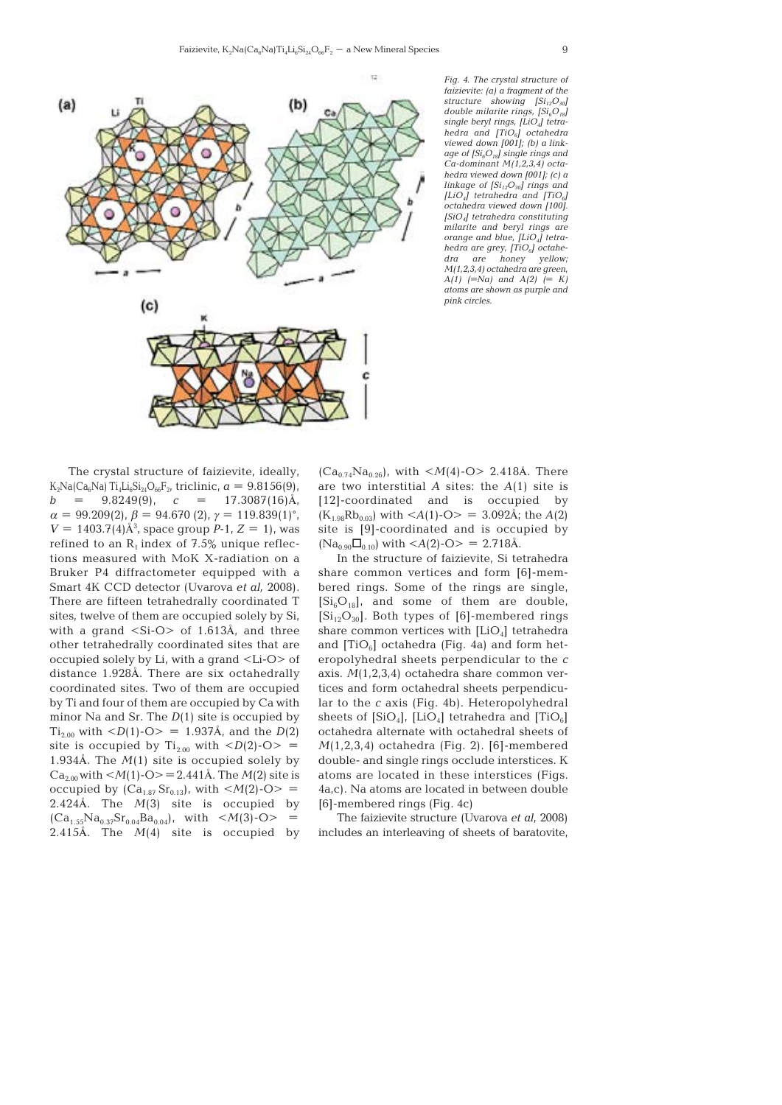

*Fig. 4. The crystal structure of faizievite: (a) a fragment of the structure showing [Si12O30] double milarite rings, [Si<sub>6</sub>O<sub>18</sub>] single beryl rings, [LiO4] tetrahedra and [TiO6] octahedra viewed down [001]; (b) a linkage of [Si6O18] single rings and Ca-dominant M(1,2,3,4) octahedra viewed down [001]; (c) a linkage of [Si12O30] rings and [LiO4] tetrahedra and [TiO6] octahedra viewed down [100]. [SiO4] tetrahedra constituting milarite and beryl rings are orange and blue, [LiO4] tetrahedra are grey, [TiO<sub>6</sub>] octahe-<br>dra are honey vellow: dra are honey yellow; M(1,2,3,4) octahedra are green, A(1) (=Na) and A(2) (= K) atoms are shown as purple and pink circles.*

The crystal structure of faizievite, ideally, K<sub>2</sub>Na(Ca<sub>6</sub>Na) Ti<sub>4</sub>Li<sub>6</sub>Si<sub>24</sub>O<sub>66</sub>F<sub>2</sub>, triclinic,  $a = 9.8156(9)$ ,  $b = 9.8249(9)$ ,  $c = 17.3087(16)$ Å,  $\alpha = 99.209(2)$ ,  $\beta = 94.670(2)$ ,  $\gamma = 119.839(1)$ °,  $V = 1403.7(4)$ Å<sup>3</sup>, space group *P*-1,  $Z = 1$ ), was refined to an  $R_1$  index of 7.5% unique reflections measured with MoK X-radiation on a Bruker P4 diffractometer equipped with a Smart 4K CCD detector (Uvarova *et al,* 2008). There are fifteen tetrahedrally coordinated T sites, twelve of them are occupied solely by Si, with a grand <Si-O> of 1.613Å, and three other tetrahedrally coordinated sites that are occupied solely by Li, with a grand <Li-O> of distance 1.928Å. There are six octahedrally coordinated sites. Two of them are occupied by Ti and four of them are occupied by Ca with minor Na and Sr. The *D*(1) site is occupied by  $\text{Ti}_{2.00}$  with  $\text{<}D(1)\text{-O}\text{>} = 1.937\text{\AA}$ , and the  $D(2)$ site is occupied by  $\text{Ti}_{2.00}$  with  $\langle D(2)\text{-O}\rangle$  = 1.934Å. The *M*(1) site is occupied solely by  $Ca_{2.00}$  with  $\leq M(1)$ -O $\geq$  = 2.441Å. The *M*(2) site is occupied by  $(Ca_{1.87}Sr_{0.13})$ , with  $\langle M(2)\text{-}O \rangle =$ 2.424Å. The *M*(3) site is occupied by  $(Ca_{1.55}Na_{0.37}Sr_{0.04}Ba_{0.04})$ , with  $\langle M(3)\text{-}O \rangle$  = 2.415Å. The *M*(4) site is occupied by

 $(Ca_{0.74}Na_{0.26})$ , with  $\langle M(4)\text{-}O \rangle$  2.418Å. There are two interstitial *A* sites: the *A*(1) site is [12]-coordinated and is occupied by  $(K_{1.98}Rb_{0.03})$  with  $\langle A(1)\text{-}O \rangle = 3.092\text{\AA}$ ; the  $A(2)$ site is [9]-coordinated and is occupied by  $(Na_{0.90}\Box_{0.10})$  with  $\langle A(2)\text{-O}\rangle = 2.718\text{\AA}.$ 

In the structure of faizievite, Si tetrahedra share common vertices and form [6]-membered rings. Some of the rings are single,  $[Si_6O_{18}]$ , and some of them are double,  $[Si_{12}O_{30}]$ . Both types of [6]-membered rings share common vertices with  $[LiO<sub>4</sub>]$  tetrahedra and  $[TiO<sub>6</sub>]$  octahedra (Fig. 4a) and form heteropolyhedral sheets perpendicular to the *c* axis. *M*(1,2,3,4) octahedra share common vertices and form octahedral sheets perpendicular to the *c* axis (Fig. 4b). Heteropolyhedral sheets of  $[SiO_4]$ ,  $[LiO_4]$  tetrahedra and  $[TiO_6]$ octahedra alternate with octahedral sheets of *M*(1,2,3,4) octahedra (Fig. 2). [6]-membered double- and single rings occlude interstices. K atoms are located in these interstices (Figs. 4a,c). Na atoms are located in between double [6]-membered rings (Fig. 4c)

The faizievite structure (Uvarova *et al*, 2008) includes an interleaving of sheets of baratovite,